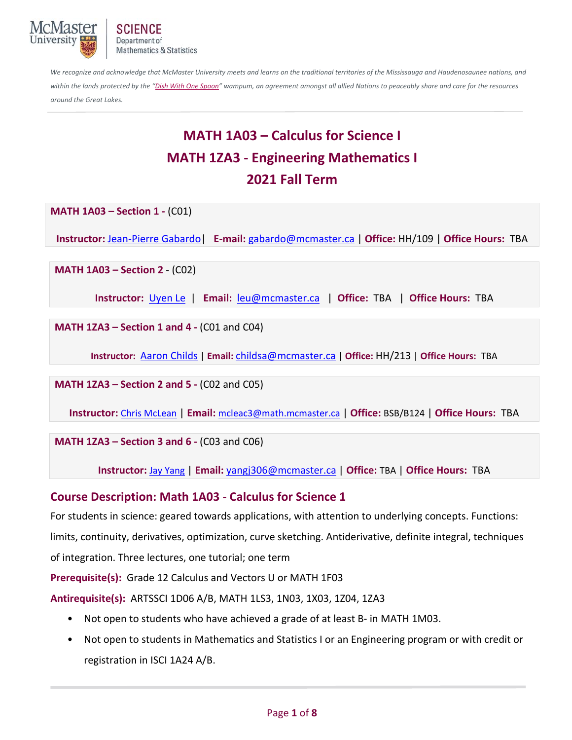

*We recognize and acknowledge that McMaster University meets and learns on the traditional territories of the Mississauga and Haudenosaunee nations, and*  within the lands protected by the "Dish With One Spoon" wampum, an agreement amongst all allied Nations to peaceably share and care for the resources *around the Great Lakes.*

# **MATH 1A03 – Calculus for Science I MATH 1ZA3 ‐ Engineering Mathematics I 2021 Fall Term**

**MATH 1A03 – Section 1 ‐** (C01)

**Instructor:** Jean‐Pierre Gabardo|  **E‐mail:** gabardo@mcmaster.ca | **Office:** HH/109 | **Office Hours:**  TBA

**MATH 1A03 – Section 2 - (C02)** 

**Instructor:**  Uyen Le | **Email:** leu@mcmaster.ca | **Office:** TBA | **Office Hours:** TBA

**MATH 1ZA3 – Section 1 and 4 - (C01 and C04)** 

**Instructor:**  Aaron Childs | **Email:** childsa@mcmaster.ca | **Office:** HH/213 | **Office Hours:** TBA

**MATH 1ZA3 – Section 2 and 5 - (C02 and C05)** 

**Instructor:** Chris McLean | **Email:** mcleac3@math.mcmaster.ca | **Office:** BSB/B124 | **Office Hours:** TBA

**MATH 1ZA3 – Section 3 and 6 - (C03 and C06)** 

**Instructor:** Jay Yang | **Email:** yangj306@mcmaster.ca | **Office:** TBA | **Office Hours:** TBA

## **Course Description: Math 1A03 ‐ Calculus for Science 1**

For students in science: geared towards applications, with attention to underlying concepts. Functions: limits, continuity, derivatives, optimization, curve sketching. Antiderivative, definite integral, techniques of integration. Three lectures, one tutorial; one term

**Prerequisite(s):** Grade 12 Calculus and Vectors U or MATH 1F03

**Antirequisite(s):** ARTSSCI 1D06 A/B, MATH 1LS3, 1N03, 1X03, 1Z04, 1ZA3

- Not open to students who have achieved a grade of at least B- in MATH 1M03.
- Not open to students in Mathematics and Statistics I or an Engineering program or with credit or registration in ISCI 1A24 A/B.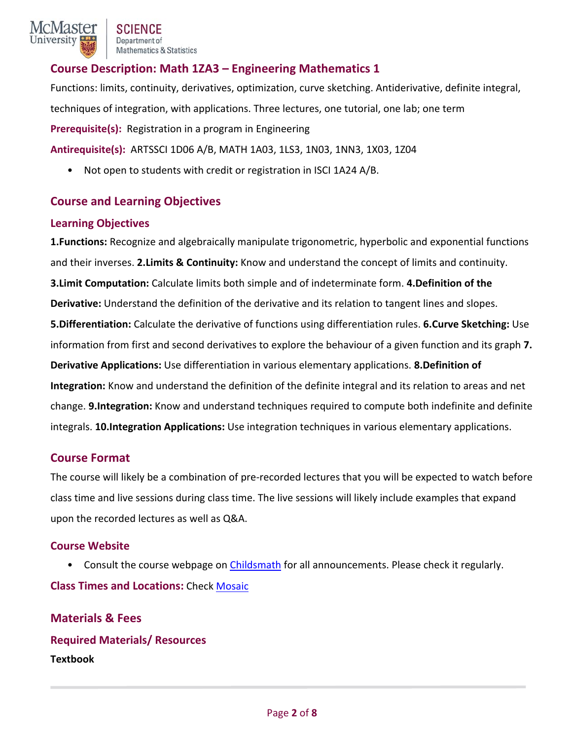## **Course Description: Math 1ZA3 – Engineering Mathematics 1**

Functions: limits, continuity, derivatives, optimization, curve sketching. Antiderivative, definite integral, techniques of integration, with applications. Three lectures, one tutorial, one lab; one term **Prerequisite(s):** Registration in a program in Engineering **Antirequisite(s):** ARTSSCI 1D06 A/B, MATH 1A03, 1LS3, 1N03, 1NN3, 1X03, 1Z04

• Not open to students with credit or registration in ISCI 1A24 A/B.

## **Course and Learning Objectives**

#### **Learning Objectives**

**1.Functions:** Recognize and algebraically manipulate trigonometric, hyperbolic and exponential functions and their inverses. **2.Limits & Continuity:** Know and understand the concept of limits and continuity. **3.Limit Computation:** Calculate limits both simple and of indeterminate form. **4.Definition of the Derivative:** Understand the definition of the derivative and its relation to tangent lines and slopes. **5.Differentiation:** Calculate the derivative of functions using differentiation rules. **6.Curve Sketching:** Use information from first and second derivatives to explore the behaviour of a given function and its graph **7. Derivative Applications:** Use differentiation in various elementary applications. **8.Definition of Integration:** Know and understand the definition of the definite integral and its relation to areas and net change. **9.Integration:** Know and understand techniques required to compute both indefinite and definite integrals. **10.Integration Applications:** Use integration techniques in various elementary applications.

## **Course Format**

The course will likely be a combination of pre‐recorded lectures that you will be expected to watch before class time and live sessions during class time. The live sessions will likely include examples that expand upon the recorded lectures as well as Q&A.

## **Course Website**

• Consult the course webpage on Childsmath for all announcements. Please check it regularly. **Class Times and Locations:** Check Mosaic

**Materials & Fees Required Materials/ Resources Textbook**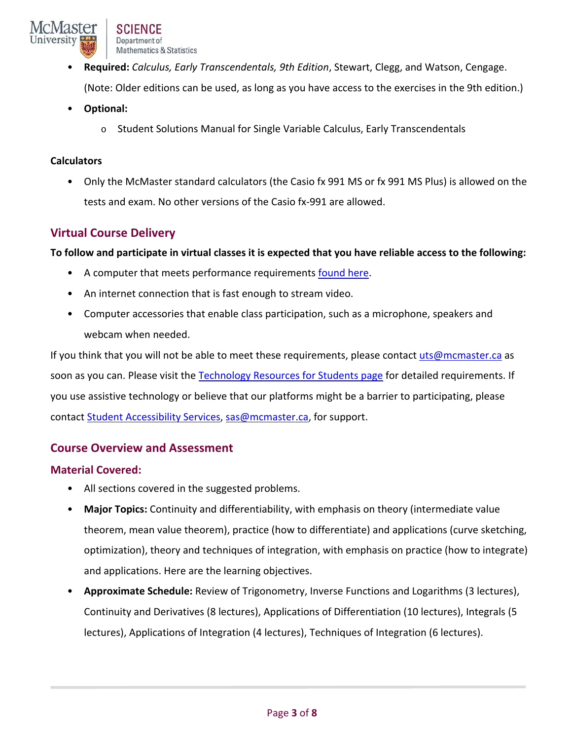- **Required:** *Calculus, Early Transcendentals, 9th Edition*, Stewart, Clegg, and Watson, Cengage. (Note: Older editions can be used, as long as you have access to the exercises in the 9th edition.)
- **Optional:** 
	- o Student Solutions Manual for Single Variable Calculus, Early Transcendentals

#### **Calculators**

• Only the McMaster standard calculators (the Casio fx 991 MS or fx 991 MS Plus) is allowed on the tests and exam. No other versions of the Casio fx‐991 are allowed.

# **Virtual Course Delivery**

## **To follow and participate in virtual classes it is expected that you have reliable access to the following:**

- A computer that meets performance requirements found here.
- An internet connection that is fast enough to stream video.
- Computer accessories that enable class participation, such as a microphone, speakers and webcam when needed.

If you think that you will not be able to meet these requirements, please contact uts@mcmaster.ca as soon as you can. Please visit the Technology Resources for Students page for detailed requirements. If you use assistive technology or believe that our platforms might be a barrier to participating, please contact Student Accessibility Services, sas@mcmaster.ca, for support.

## **Course Overview and Assessment**

## **Material Covered:**

- All sections covered in the suggested problems.
- **Major Topics:** Continuity and differentiability, with emphasis on theory (intermediate value theorem, mean value theorem), practice (how to differentiate) and applications (curve sketching, optimization), theory and techniques of integration, with emphasis on practice (how to integrate) and applications. Here are the learning objectives.
- **Approximate Schedule:** Review of Trigonometry, Inverse Functions and Logarithms (3 lectures), Continuity and Derivatives (8 lectures), Applications of Differentiation (10 lectures), Integrals (5 lectures), Applications of Integration (4 lectures), Techniques of Integration (6 lectures).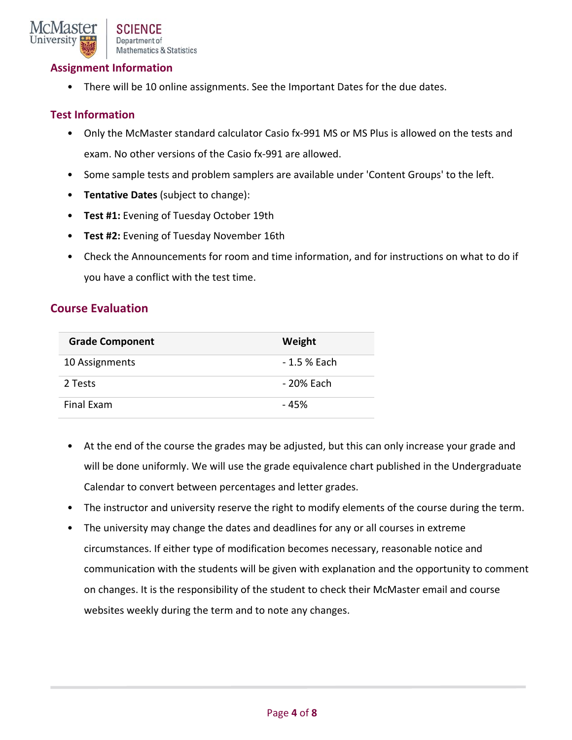

## **Assignment Information**

• There will be 10 online assignments. See the Important Dates for the due dates.

## **Test Information**

- Only the McMaster standard calculator Casio fx-991 MS or MS Plus is allowed on the tests and exam. No other versions of the Casio fx‐991 are allowed.
- Some sample tests and problem samplers are available under 'Content Groups' to the left.
- **Tentative Dates** (subject to change):
- **Test #1:** Evening of Tuesday October 19th
- **Test #2:** Evening of Tuesday November 16th
- Check the Announcements for room and time information, and for instructions on what to do if you have a conflict with the test time.

## **Course Evaluation**

| <b>Grade Component</b> | Weight       |
|------------------------|--------------|
| 10 Assignments         | - 1.5 % Each |
| 2 Tests                | - 20% Each   |
| Final Exam             | - 45%        |

- At the end of the course the grades may be adjusted, but this can only increase your grade and will be done uniformly. We will use the grade equivalence chart published in the Undergraduate Calendar to convert between percentages and letter grades.
- The instructor and university reserve the right to modify elements of the course during the term.
- The university may change the dates and deadlines for any or all courses in extreme circumstances. If either type of modification becomes necessary, reasonable notice and communication with the students will be given with explanation and the opportunity to comment on changes. It is the responsibility of the student to check their McMaster email and course websites weekly during the term and to note any changes.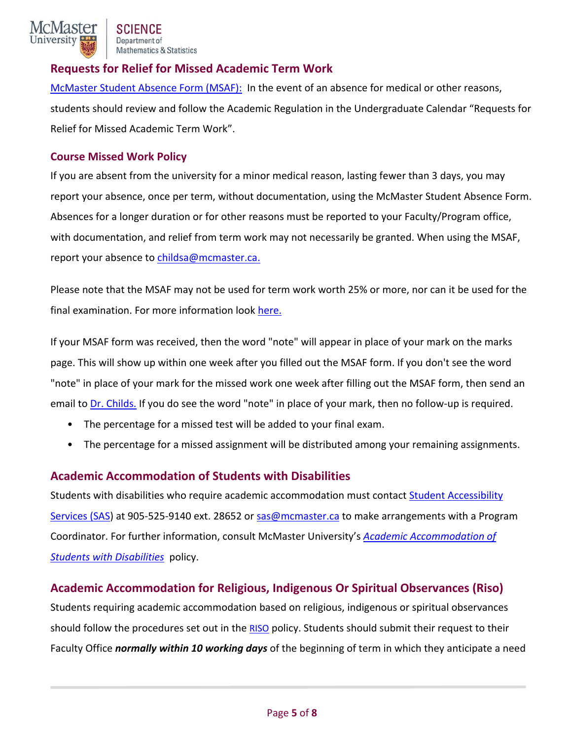

# **Requests for Relief for Missed Academic Term Work**

McMaster Student Absence Form (MSAF): In the event of an absence for medical or other reasons, students should review and follow the Academic Regulation in the Undergraduate Calendar "Requests for Relief for Missed Academic Term Work".

## **Course Missed Work Policy**

If you are absent from the university for a minor medical reason, lasting fewer than 3 days, you may report your absence, once per term, without documentation, using the McMaster Student Absence Form. Absences for a longer duration or for other reasons must be reported to your Faculty/Program office, with documentation, and relief from term work may not necessarily be granted. When using the MSAF, report your absence to childsa@mcmaster.ca.

Please note that the MSAF may not be used for term work worth 25% or more, nor can it be used for the final examination. For more information look here.

If your MSAF form was received, then the word "note" will appear in place of your mark on the marks page. This will show up within one week after you filled out the MSAF form. If you don't see the word "note" in place of your mark for the missed work one week after filling out the MSAF form, then send an email to Dr. Childs. If you do see the word "note" in place of your mark, then no follow-up is required.

- The percentage for a missed test will be added to your final exam.
- The percentage for a missed assignment will be distributed among your remaining assignments.

## **Academic Accommodation of Students with Disabilities**

Students with disabilities who require academic accommodation must contact Student Accessibility Services (SAS) at 905‐525‐9140 ext. 28652 or sas@mcmaster.ca to make arrangements with a Program Coordinator. For further information, consult McMaster University's *Academic Accommodation of Students with Disabilities* policy.

# **Academic Accommodation for Religious, Indigenous Or Spiritual Observances (Riso)**

Students requiring academic accommodation based on religious, indigenous or spiritual observances should follow the procedures set out in the RISO policy. Students should submit their request to their Faculty Office *normally within 10 working days* of the beginning of term in which they anticipate a need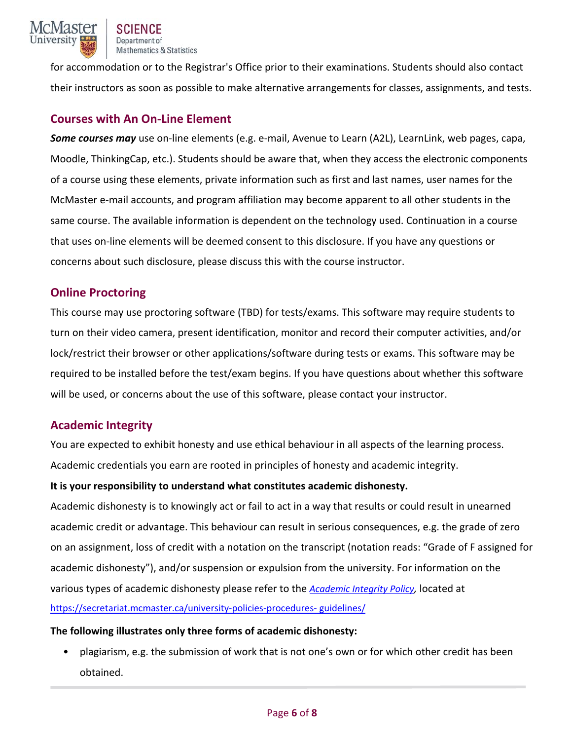

for accommodation or to the Registrar's Office prior to their examinations. Students should also contact their instructors as soon as possible to make alternative arrangements for classes, assignments, and tests.

# **Courses with An On‐Line Element**

*Some courses may* use on‐line elements (e.g. e‐mail, Avenue to Learn (A2L), LearnLink, web pages, capa, Moodle, ThinkingCap, etc.). Students should be aware that, when they access the electronic components of a course using these elements, private information such as first and last names, user names for the McMaster e‐mail accounts, and program affiliation may become apparent to all other students in the same course. The available information is dependent on the technology used. Continuation in a course that uses on‐line elements will be deemed consent to this disclosure. If you have any questions or concerns about such disclosure, please discuss this with the course instructor.

## **Online Proctoring**

This course may use proctoring software (TBD) for tests/exams. This software may require students to turn on their video camera, present identification, monitor and record their computer activities, and/or lock/restrict their browser or other applications/software during tests or exams. This software may be required to be installed before the test/exam begins. If you have questions about whether this software will be used, or concerns about the use of this software, please contact your instructor.

## **Academic Integrity**

You are expected to exhibit honesty and use ethical behaviour in all aspects of the learning process. Academic credentials you earn are rooted in principles of honesty and academic integrity.

## **It is your responsibility to understand what constitutes academic dishonesty.**

Academic dishonesty is to knowingly act or fail to act in a way that results or could result in unearned academic credit or advantage. This behaviour can result in serious consequences, e.g. the grade of zero on an assignment, loss of credit with a notation on the transcript (notation reads: "Grade of F assigned for academic dishonesty"), and/or suspension or expulsion from the university. For information on the various types of academic dishonesty please refer to the *Academic Integrity Policy,* located at https://secretariat.mcmaster.ca/university-policies-procedures- guidelines/

## **The following illustrates only three forms of academic dishonesty:**

• plagiarism, e.g. the submission of work that is not one's own or for which other credit has been obtained.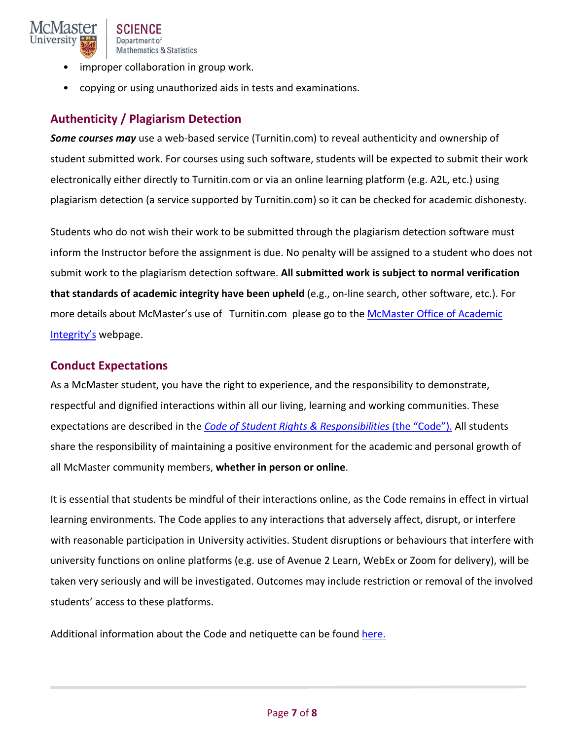

- improper collaboration in group work.
- copying or using unauthorized aids in tests and examinations.

# **Authenticity / Plagiarism Detection**

**Some courses may** use a web-based service (Turnitin.com) to reveal authenticity and ownership of student submitted work. For courses using such software, students will be expected to submit their work electronically either directly to Turnitin.com or via an online learning platform (e.g. A2L, etc.) using plagiarism detection (a service supported by Turnitin.com) so it can be checked for academic dishonesty.

Students who do not wish their work to be submitted through the plagiarism detection software must inform the Instructor before the assignment is due. No penalty will be assigned to a student who does not submit work to the plagiarism detection software. **All submitted work is subject to normal verification that standards of academic integrity have been upheld** (e.g., on‐line search, other software, etc.). For more details about McMaster's use of Turnitin.com please go to the McMaster Office of Academic Integrity's webpage.

## **Conduct Expectations**

As a McMaster student, you have the right to experience, and the responsibility to demonstrate, respectful and dignified interactions within all our living, learning and working communities. These expectations are described in the *Code of Student Rights & Responsibilities* (the "Code"). All students share the responsibility of maintaining a positive environment for the academic and personal growth of all McMaster community members, **whether in person or online**.

It is essential that students be mindful of their interactions online, as the Code remains in effect in virtual learning environments. The Code applies to any interactions that adversely affect, disrupt, or interfere with reasonable participation in University activities. Student disruptions or behaviours that interfere with university functions on online platforms (e.g. use of Avenue 2 Learn, WebEx or Zoom for delivery), will be taken very seriously and will be investigated. Outcomes may include restriction or removal of the involved students' access to these platforms.

Additional information about the Code and netiquette can be found here.